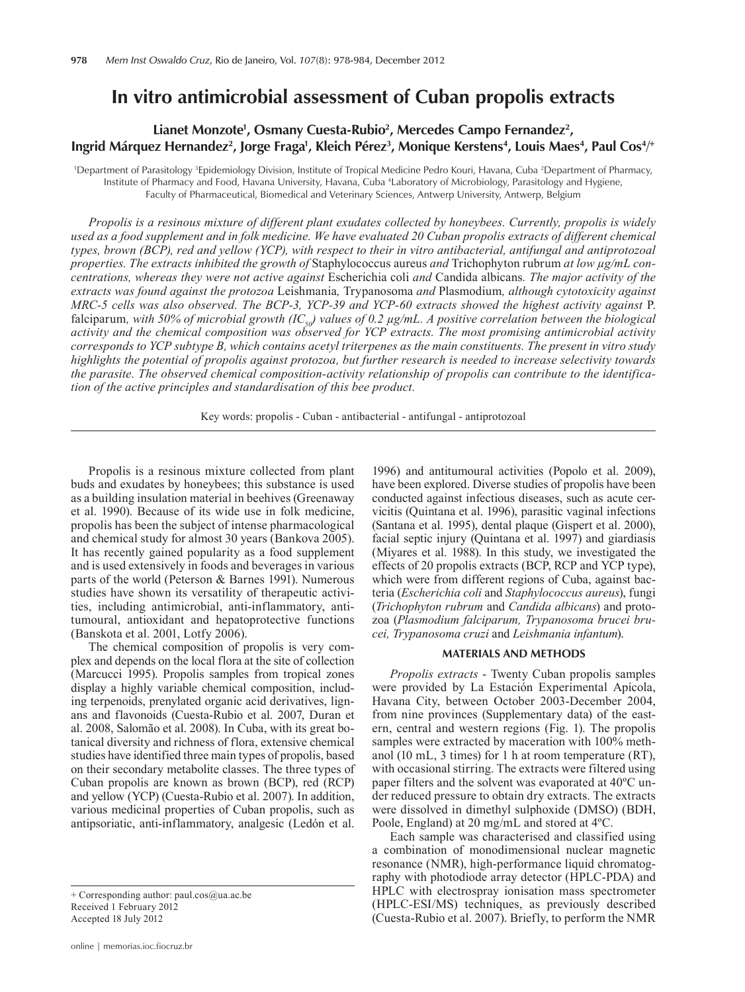# **In vitro antimicrobial assessment of Cuban propolis extracts**

### Lianet Monzote<sup>1</sup>, Osmany Cuesta-Rubio<sup>2</sup>, Mercedes Campo Fernandez<sup>2</sup>, **lngrid Márquez Hernandez<sup>2</sup>, Jorge Fraga<sup>1</sup>, Kleich Pérez<sup>3</sup>, Monique Kerstens<sup>4</sup>, Louis Maes<sup>4</sup>, Paul Cos<sup>4</sup>/<sup>+</sup>**

<sup>1</sup>Department of Parasitology <sup>3</sup>Epidemiology Division, Institute of Tropical Medicine Pedro Kouri, Havana, Cuba <sup>2</sup>Department of Pharmacy, Institute of Pharmacy and Food, Havana University, Havana, Cuba 4 Laboratory of Microbiology, Parasitology and Hygiene, Faculty of Pharmaceutical, Biomedical and Veterinary Sciences, Antwerp University, Antwerp, Belgium

*Propolis is a resinous mixture of different plant exudates collected by honeybees. Currently, propolis is widely used as a food supplement and in folk medicine. We have evaluated 20 Cuban propolis extracts of different chemical types, brown (BCP), red and yellow (YCP), with respect to their in vitro antibacterial, antifungal and antiprotozoal properties. The extracts inhibited the growth of* Staphylococcus aureus *and* Trichophyton rubrum *at low µg/mL concentrations, whereas they were not active against* Escherichia coli *and* Candida albicans*. The major activity of the extracts was found against the protozoa* Leishmania*,* Trypanosoma *and* Plasmodium*, although cytotoxicity against MRC-5 cells was also observed. The BCP-3, YCP-39 and YCP-60 extracts showed the highest activity against* P. falciparum, with 50% of microbial growth (IC<sub>50</sub>) values of 0.2  $\mu$ g/mL. A positive correlation between the biological *activity and the chemical composition was observed for YCP extracts. The most promising antimicrobial activity corresponds to YCP subtype B, which contains acetyl triterpenes as the main constituents. The present in vitro study highlights the potential of propolis against protozoa, but further research is needed to increase selectivity towards the parasite. The observed chemical composition-activity relationship of propolis can contribute to the identification of the active principles and standardisation of this bee product.* 

Key words: propolis - Cuban - antibacterial - antifungal - antiprotozoal

Propolis is a resinous mixture collected from plant buds and exudates by honeybees; this substance is used as a building insulation material in beehives (Greenaway et al. 1990). Because of its wide use in folk medicine, propolis has been the subject of intense pharmacological and chemical study for almost 30 years (Bankova 2005). It has recently gained popularity as a food supplement and is used extensively in foods and beverages in various parts of the world (Peterson & Barnes 1991). Numerous studies have shown its versatility of therapeutic activities, including antimicrobial, anti-inflammatory, antitumoural, antioxidant and hepatoprotective functions (Banskota et al. 2001, Lotfy 2006).

The chemical composition of propolis is very complex and depends on the local flora at the site of collection (Marcucci 1995). Propolis samples from tropical zones display a highly variable chemical composition, including terpenoids, prenylated organic acid derivatives, lignans and flavonoids (Cuesta-Rubio et al. 2007, Duran et al. 2008, Salomão et al. 2008). In Cuba, with its great botanical diversity and richness of flora, extensive chemical studies have identified three main types of propolis, based on their secondary metabolite classes. The three types of Cuban propolis are known as brown (BCP), red (RCP) and yellow (YCP) (Cuesta-Rubio et al. 2007). In addition, various medicinal properties of Cuban propolis, such as antipsoriatic, anti-inflammatory, analgesic (Ledón et al.

1996) and antitumoural activities (Popolo et al. 2009), have been explored. Diverse studies of propolis have been conducted against infectious diseases, such as acute cervicitis (Quintana et al. 1996), parasitic vaginal infections (Santana et al. 1995), dental plaque (Gispert et al. 2000), facial septic injury (Quintana et al. 1997) and giardiasis (Miyares et al. 1988). In this study, we investigated the effects of 20 propolis extracts (BCP, RCP and YCP type), which were from different regions of Cuba, against bacteria (*Escherichia coli* and *Staphylococcus aureus*), fungi (*Trichophyton rubrum* and *Candida albicans*) and protozoa (*Plasmodium falciparum, Trypanosoma brucei brucei, Trypanosoma cruzi* and *Leishmania infantum*).

#### **MATERIALS AND METHODS**

*Propolis extracts* - Twenty Cuban propolis samples were provided by La Estación Experimental Apícola, Havana City, between October 2003-December 2004, from nine provinces (Supplementary data) of the eastern, central and western regions (Fig. 1). The propolis samples were extracted by maceration with 100% methanol (10 mL, 3 times) for 1 h at room temperature (RT), with occasional stirring. The extracts were filtered using paper filters and the solvent was evaporated at 40ºC under reduced pressure to obtain dry extracts. The extracts were dissolved in dimethyl sulphoxide (DMSO) (BDH, Poole, England) at 20 mg/mL and stored at 4ºC.

Each sample was characterised and classified using a combination of monodimensional nuclear magnetic resonance (NMR), high-performance liquid chromatography with photodiode array detector (HPLC-PDA) and HPLC with electrospray ionisation mass spectrometer (HPLC-ESI/MS) techniques, as previously described (Cuesta-Rubio et al. 2007). Briefly, to perform the NMR

<sup>+</sup> Corresponding author: paul.cos@ua.ac.be Received 1 February 2012 Accepted 18 July 2012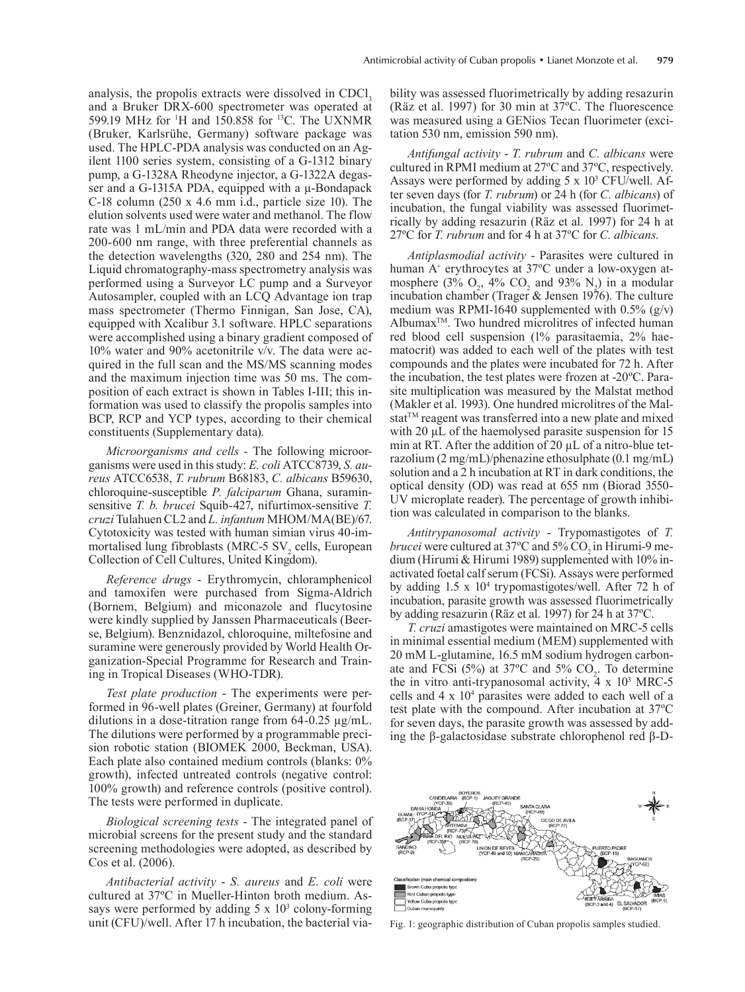analysis, the propolis extracts were dissolved in CDCl, and a Bruker DRX-600 spectrometer was operated at 599.19 MHz for <sup>1</sup>H and 150.858 for <sup>13</sup>C. The UXNMR (Bruker, Karlsrühe, Germany) software package was used. The HPLC-PDA analysis was conducted on an Agilent 1100 series system, consisting of a G-1312 binary pump, a G-1328A Rheodyne injector, a G-1322A degasser and a G-1315A PDA, equipped with a  $\mu$ -Bondapack C-18 column (250 x 4.6 mm i.d., particle size 10). The elution solvents used were water and methanol. The flow rate was 1 mL/min and PDA data were recorded with a 200-600 nm range, with three preferential channels as the detection wavelengths (320, 280 and 254 nm). The Liquid chromatography-mass spectrometry analysis was performed using a Surveyor LC pump and a Surveyor Autosampler, coupled with an LCQ Advantage ion trap mass spectrometer (Thermo Finnigan, San Jose, CA), equipped with Xcalibur 3.1 software. HPLC separations were accomplished using a binary gradient composed of 10% water and 90% acetonitrile v/v. The data were acquired in the full scan and the MS/MS scanning modes and the maximum injection time was 50 ms. The composition of each extract is shown in Tables I-III; this information was used to classify the propolis samples into BCP, RCP and YCP types, according to their chemical constituents (Supplementary data).

*Microorganisms and cells -* The following microorganisms were used in this study: *E. coli* ATCC8739, *S. aureus* ATCC6538, *T. rubrum* B68183, *C. albicans* B59630, chloroquine-susceptible *P. falciparum* Ghana, suraminsensitive *T. b. brucei* Squib-427, nifurtimox-sensitive *T. cruzi* Tulahuen CL2 and *L. infantum* MHOM/MA(BE)/67. Cytotoxicity was tested with human simian virus 40-immortalised lung fibroblasts (MRC-5  $SV<sub>2</sub>$  cells, European Collection of Cell Cultures, United Kingdom).

*Reference drugs* - Erythromycin, chloramphenicol and tamoxifen were purchased from Sigma-Aldrich (Bornem, Belgium) and miconazole and flucytosine were kindly supplied by Janssen Pharmaceuticals (Beerse, Belgium). Benznidazol, chloroquine, miltefosine and suramine were generously provided by World Health Organization-Special Programme for Research and Training in Tropical Diseases (WHO-TDR).

*Test plate production* - The experiments were performed in 96-well plates (Greiner, Germany) at fourfold dilutions in a dose-titration range from 64-0.25 µg/mL. The dilutions were performed by a programmable precision robotic station (BIOMEK 2000, Beckman, USA). Each plate also contained medium controls (blanks: 0% growth), infected untreated controls (negative control: 100% growth) and reference controls (positive control). The tests were performed in duplicate.

*Biological screening tests* - The integrated panel of microbial screens for the present study and the standard screening methodologies were adopted, as described by Cos et al. (2006).

*Antibacterial activity* - *S. aureus* and *E. coli* were cultured at 37ºC in Mueller-Hinton broth medium. Assays were performed by adding  $5 \times 10^3$  colony-forming unit (CFU)/well. After 17 h incubation, the bacterial viability was assessed fluorimetrically by adding resazurin (Räz et al. 1997) for 30 min at 37ºC. The fluorescence was measured using a GENios Tecan fluorimeter (excitation 530 nm, emission 590 nm).

*Antifungal activity* - *T. rubrum* and *C. albicans* were cultured in RPMI medium at 27ºC and 37ºC, respectively. Assays were performed by adding  $5 \times 10^3$  CFU/well. After seven days (for *T. rubrum*) or 24 h (for *C. albicans*) of incubation, the fungal viability was assessed fluorimetrically by adding resazurin (Räz et al. 1997) for 24 h at 27ºC for *T. rubrum* and for 4 h at 37ºC for *C. albicans*.

*Antiplasmodial activity* - Parasites were cultured in human A<sup>+</sup> erythrocytes at 37°C under a low-oxygen atmosphere (3%  $O_2$ , 4%  $CO_2$  and 93%  $N_2$ ) in a modular incubation chamber (Trager  $&$  Jensen 1976). The culture medium was RPMI-1640 supplemented with  $0.5\%$  (g/v) Albumax<sup>™</sup>. Two hundred microlitres of infected human red blood cell suspension (1% parasitaemia, 2% haematocrit) was added to each well of the plates with test compounds and the plates were incubated for 72 h. After the incubation, the test plates were frozen at -20ºC. Parasite multiplication was measured by the Malstat method (Makler et al. 1993). One hundred microlitres of the Malstat™ reagent was transferred into a new plate and mixed with 20  $\mu$ L of the haemolysed parasite suspension for 15 min at RT. After the addition of 20  $\mu$ L of a nitro-blue tetrazolium (2 mg/mL)/phenazine ethosulphate (0.1 mg/mL) solution and a 2 h incubation at RT in dark conditions, the optical density (OD) was read at 655 nm (Biorad 3550- UV microplate reader). The percentage of growth inhibition was calculated in comparison to the blanks.

*Antitrypanosomal activity* - Trypomastigotes of *T. brucei* were cultured at 37°C and 5% CO<sub>2</sub> in Hirumi-9 medium (Hirumi & Hirumi 1989) supplemented with 10% inactivated foetal calf serum (FCSi). Assays were performed by adding 1.5 x 10<sup>4</sup> trypomastigotes/well. After 72 h of incubation, parasite growth was assessed fluorimetrically by adding resazurin (Räz et al. 1997) for 24 h at 37ºC.

*T. cruzi* amastigotes were maintained on MRC-5 cells in minimal essential medium (MEM) supplemented with 20 mM L-glutamine, 16.5 mM sodium hydrogen carbonate and FCSi  $(5\%)$  at 37°C and 5% CO<sub>2</sub>. To determine the in vitro anti-trypanosomal activity,  $\frac{1}{4} \times 10^3$  MRC-5 cells and  $4 \times 10^4$  parasites were added to each well of a test plate with the compound. After incubation at 37ºC for seven days, the parasite growth was assessed by adding the β-galactosidase substrate chlorophenol red β-D-



Fig. 1: geographic distribution of Cuban propolis samples studied.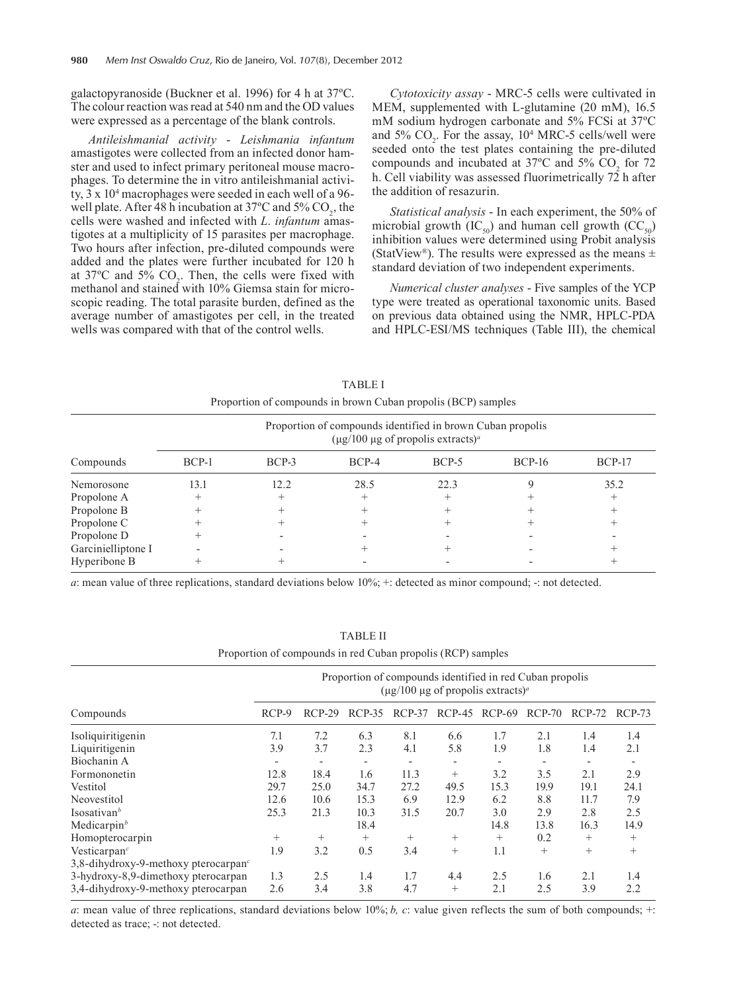galactopyranoside (Buckner et al. 1996) for 4 h at 37ºC. The colour reaction was read at 540 nm and the OD values were expressed as a percentage of the blank controls.

*Antileishmanial activity* - *Leishmania infantum* amastigotes were collected from an infected donor hamster and used to infect primary peritoneal mouse macrophages. To determine the in vitro antileishmanial activity, 3 x 104 macrophages were seeded in each well of a 96 well plate. After 48 h incubation at  $37^{\circ}$ C and  $5\%$  CO<sub>2</sub>, the cells were washed and infected with *L. infantum* amastigotes at a multiplicity of 15 parasites per macrophage. Two hours after infection, pre-diluted compounds were added and the plates were further incubated for 120 h at  $37^{\circ}$ C and  $5\%$  CO<sub>2</sub>. Then, the cells were fixed with methanol and stained with 10% Giemsa stain for microscopic reading. The total parasite burden, defined as the average number of amastigotes per cell, in the treated wells was compared with that of the control wells.

*Cytotoxicity assay* - MRC-5 cells were cultivated in MEM, supplemented with L-glutamine (20 mM), 16.5 mM sodium hydrogen carbonate and 5% FCSi at 37ºC and  $5\%$  CO<sub>2</sub>. For the assay,  $10^4$  MRC-5 cells/well were seeded onto the test plates containing the pre-diluted compounds and incubated at  $37^{\circ}$ C and  $5\%$  CO<sub>2</sub> for 72 h. Cell viability was assessed fluorimetrically  $72$  h after the addition of resazurin.

*Statistical analysis* - In each experiment, the 50% of microbial growth (IC<sub>50</sub>) and human cell growth (CC<sub>50</sub>) inhibition values were determined using Probit analysis (StatView®). The results were expressed as the means  $\pm$ standard deviation of two independent experiments.

*Numerical cluster analyses* - Five samples of the YCP type were treated as operational taxonomic units. Based on previous data obtained using the NMR, HPLC-PDA and HPLC-ESI/MS techniques (Table III), the chemical

| Proportion of compounds in brown Cuban propolis (BCP) samples |                                                                                                                             |         |         |         |          |               |  |  |
|---------------------------------------------------------------|-----------------------------------------------------------------------------------------------------------------------------|---------|---------|---------|----------|---------------|--|--|
|                                                               | Proportion of compounds identified in brown Cuban propolis<br>$(\mu g/100 \mu g)$ of propolis extracts) <sup><i>a</i></sup> |         |         |         |          |               |  |  |
| Compounds                                                     | $BCP-1$                                                                                                                     | $BCP-3$ | $BCP-4$ | $BCP-5$ | $BCP-16$ | <b>BCP-17</b> |  |  |
| Nemorosone                                                    | 13.1                                                                                                                        | 12.2    | 28.5    | 22.3    |          | 35.2          |  |  |
| Propolone A                                                   | $^+$                                                                                                                        |         |         | $^+$    |          |               |  |  |
| Propolone B                                                   |                                                                                                                             |         |         |         |          |               |  |  |
| Propolone C                                                   |                                                                                                                             |         |         |         |          |               |  |  |
| Propolone D                                                   |                                                                                                                             |         |         |         |          |               |  |  |
| Garcinielliptone I                                            |                                                                                                                             |         |         |         |          |               |  |  |
| Hyperibone B                                                  |                                                                                                                             |         |         |         |          |               |  |  |

TABLE I

*a*: mean value of three replications, standard deviations below 10%; +: detected as minor compound; -: not detected.

| Proportion of compounds in red Cuban propolis (RCP) samples |                                                                                                                            |                              |                              |        |                          |          |                          |                          |        |
|-------------------------------------------------------------|----------------------------------------------------------------------------------------------------------------------------|------------------------------|------------------------------|--------|--------------------------|----------|--------------------------|--------------------------|--------|
|                                                             | Proportion of compounds identified in red Cuban propolis<br>$(\mu$ g/100 $\mu$ g of propolis extracts) <sup><i>a</i></sup> |                              |                              |        |                          |          |                          |                          |        |
| Compounds                                                   | $RCP-9$                                                                                                                    | $RCP-29$                     | $RCP-35$                     | RCP-37 | $RCP-45$                 | $RCP-69$ | $RCP-70$                 | $RCP-72$                 | RCP-73 |
| Isoliquiritigenin                                           | 7.1                                                                                                                        | 7.2                          | 6.3                          | 8.1    | 6.6                      | 1.7      | 2.1                      | 1.4                      | 1.4    |
| Liquiritigenin                                              | 3.9                                                                                                                        | 3.7                          | 2.3                          | 4.1    | 5.8                      | 1.9      | 1.8                      | 1.4                      | 2.1    |
| Biochanin A                                                 | $\overline{a}$                                                                                                             | $\qquad \qquad \blacksquare$ | $\qquad \qquad \blacksquare$ |        | $\overline{\phantom{a}}$ |          | $\overline{\phantom{a}}$ | $\overline{\phantom{a}}$ |        |
| Formononetin                                                | 12.8                                                                                                                       | 18.4                         | 1.6                          | 11.3   | $+$                      | 3.2      | 3.5                      | 2.1                      | 2.9    |
| Vestitol                                                    | 29.7                                                                                                                       | 25.0                         | 34.7                         | 27.2   | 49.5                     | 15.3     | 19.9                     | 19.1                     | 24.1   |
| Neovestitol                                                 | 12.6                                                                                                                       | 10.6                         | 15.3                         | 6.9    | 12.9                     | 6.2      | 8.8                      | 11.7                     | 7.9    |
| Isosativan <sup>b</sup>                                     | 25.3                                                                                                                       | 21.3                         | 10.3                         | 31.5   | 20.7                     | 3.0      | 2.9                      | 2.8                      | 2.5    |
| Medicarpin $b$                                              |                                                                                                                            |                              | 18.4                         |        |                          | 14.8     | 13.8                     | 16.3                     | 14.9   |
| Homopterocarpin                                             | $^{+}$                                                                                                                     | $^{+}$                       | $^{+}$                       | $^{+}$ | $^{+}$                   | $^{+}$   | 0.2                      | $^{+}$                   | $^{+}$ |
| Vesticarpan <sup><math>c</math></sup>                       | 1.9                                                                                                                        | 3.2                          | 0.5                          | 3.4    | $^{+}$                   | 1.1      | $^{+}$                   | $^{+}$                   | $^{+}$ |
| 3,8-dihydroxy-9-methoxy pterocarpan <sup>c</sup>            |                                                                                                                            |                              |                              |        |                          |          |                          |                          |        |
| 3-hydroxy-8,9-dimethoxy pterocarpan                         | 1.3                                                                                                                        | 2.5                          | 1.4                          | 1.7    | 4.4                      | 2.5      | 1.6                      | 2.1                      | 1.4    |
| 3,4-dihydroxy-9-methoxy pterocarpan                         | 2.6                                                                                                                        | 3.4                          | 3.8                          | 4.7    | $^{+}$                   | 2.1      | 2.5                      | 3.9                      | 2.2    |

Table II

*a*: mean value of three replications, standard deviations below 10%; *b, c*: value given reflects the sum of both compounds; +: detected as trace; -: not detected.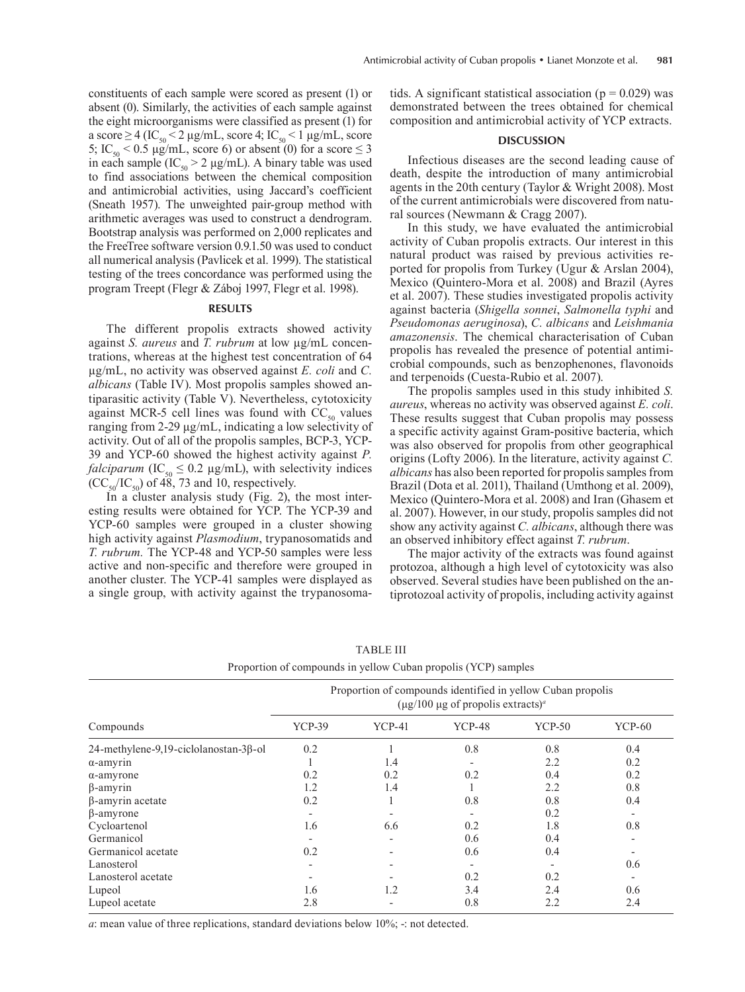constituents of each sample were scored as present (1) or absent (0). Similarly, the activities of each sample against the eight microorganisms were classified as present (1) for a score  $\geq 4$  (IC<sub>50</sub>  $\leq 2$  µg/mL, score 4; IC<sub>50</sub>  $\leq 1$  µg/mL, score 5; IC<sub>50</sub> < 0.5  $\mu$ g/mL, score 6) or absent (0) for a score  $\leq$  3 in each sample  $(IC_{50} > 2 \mu g/mL)$ . A binary table was used to find associations between the chemical composition and antimicrobial activities, using Jaccard's coefficient (Sneath 1957). The unweighted pair-group method with arithmetic averages was used to construct a dendrogram. Bootstrap analysis was performed on 2,000 replicates and the FreeTree software version 0.9.1.50 was used to conduct all numerical analysis (Pavlicek et al. 1999). The statistical testing of the trees concordance was performed using the program Treept (Flegr & Záboj 1997, Flegr et al. 1998).

#### **RESULTS**

The different propolis extracts showed activity against *S. aureus* and *T. rubrum* at low µg/mL concentrations, whereas at the highest test concentration of 64 µg/mL, no activity was observed against *E. coli* and *C. albicans* (Table IV). Most propolis samples showed antiparasitic activity (Table V). Nevertheless, cytotoxicity against MCR-5 cell lines was found with  $CC_{50}$  values ranging from 2-29 µg/mL, indicating a low selectivity of activity. Out of all of the propolis samples, BCP-3, YCP-39 and YCP-60 showed the highest activity against *P. falciparum* ( $IC_{50} \leq 0.2 \mu g/mL$ ), with selectivity indices  $(CC<sub>50</sub>/IC<sub>50</sub>)$  of 48, 73 and 10, respectively.

In a cluster analysis study (Fig. 2), the most interesting results were obtained for YCP. The YCP-39 and YCP-60 samples were grouped in a cluster showing high activity against *Plasmodium*, trypanosomatids and *T. rubrum.* The YCP-48 and YCP-50 samples were less active and non-specific and therefore were grouped in another cluster. The YCP-41 samples were displayed as a single group, with activity against the trypanosomatids. A significant statistical association ( $p = 0.029$ ) was demonstrated between the trees obtained for chemical composition and antimicrobial activity of YCP extracts.

#### **DISCUSSION**

Infectious diseases are the second leading cause of death, despite the introduction of many antimicrobial agents in the 20th century (Taylor & Wright 2008). Most of the current antimicrobials were discovered from natural sources (Newmann & Cragg 2007).

In this study, we have evaluated the antimicrobial activity of Cuban propolis extracts. Our interest in this natural product was raised by previous activities reported for propolis from Turkey (Ugur & Arslan 2004), Mexico (Quintero-Mora et al. 2008) and Brazil (Ayres et al. 2007). These studies investigated propolis activity against bacteria (*Shigella sonnei*, *Salmonella typhi* and *Pseudomonas aeruginosa*), *C. albicans* and *Leishmania amazonensis*. The chemical characterisation of Cuban propolis has revealed the presence of potential antimicrobial compounds, such as benzophenones, flavonoids and terpenoids (Cuesta-Rubio et al. 2007).

The propolis samples used in this study inhibited *S. aureus*, whereas no activity was observed against *E. coli*. These results suggest that Cuban propolis may possess a specific activity against Gram-positive bacteria, which was also observed for propolis from other geographical origins (Lofty 2006). In the literature, activity against *C. albicans* has also been reported for propolis samples from Brazil (Dota et al. 2011), Thailand (Umthong et al. 2009), Mexico (Quintero-Mora et al. 2008) and Iran (Ghasem et al. 2007). However, in our study, propolis samples did not show any activity against *C. albicans*, although there was an observed inhibitory effect against *T. rubrum*.

The major activity of the extracts was found against protozoa, although a high level of cytotoxicity was also observed. Several studies have been published on the antiprotozoal activity of propolis, including activity against

| Troportion of compounds in yerrow Cuban propons (TCT) samples |                                                                                                                          |          |               |               |                          |  |
|---------------------------------------------------------------|--------------------------------------------------------------------------------------------------------------------------|----------|---------------|---------------|--------------------------|--|
|                                                               | Proportion of compounds identified in yellow Cuban propolis<br>$(\mu$ g/100 µg of propolis extracts) <sup><i>a</i></sup> |          |               |               |                          |  |
| Compounds                                                     | <b>YCP-39</b>                                                                                                            | $YCP-41$ | <b>YCP-48</b> | <b>YCP-50</b> | <b>YCP-60</b>            |  |
| 24-methylene-9,19-ciclolanostan-3β-ol                         | 0.2                                                                                                                      |          | 0.8           | 0.8           | 0.4                      |  |
| $\alpha$ -amyrin                                              |                                                                                                                          | 1.4      |               | 2.2           | 0.2                      |  |
| $\alpha$ -amyrone                                             | 0.2                                                                                                                      | 0.2      | 0.2           | 0.4           | 0.2                      |  |
| $\beta$ -amyrin                                               | 1.2                                                                                                                      | 1.4      |               | 2.2           | 0.8                      |  |
| $\beta$ -amyrin acetate                                       | 0.2                                                                                                                      |          | 0.8           | 0.8           | 0.4                      |  |
| $\beta$ -amyrone                                              |                                                                                                                          |          |               | 0.2           |                          |  |
| Cycloartenol                                                  | 1.6                                                                                                                      | 6.6      | 0.2           | 1.8           | 0.8                      |  |
| Germanicol                                                    |                                                                                                                          |          | 0.6           | 0.4           | $\overline{\phantom{0}}$ |  |
| Germanicol acetate                                            | 0.2                                                                                                                      |          | 0.6           | 0.4           |                          |  |
| Lanosterol                                                    |                                                                                                                          |          |               |               | 0.6                      |  |
| Lanosterol acetate                                            |                                                                                                                          |          | 0.2           | 0.2           |                          |  |
| Lupeol                                                        | 1.6                                                                                                                      | 1.2      | 3.4           | 2.4           | 0.6                      |  |
| Lupeol acetate                                                | 2.8                                                                                                                      |          | 0.8           | 2.2           | 2.4                      |  |

**TABLE III** Proportion of compounds in yellow Cuban propolis (YCP) samples

*a*: mean value of three replications, standard deviations below 10%; -: not detected.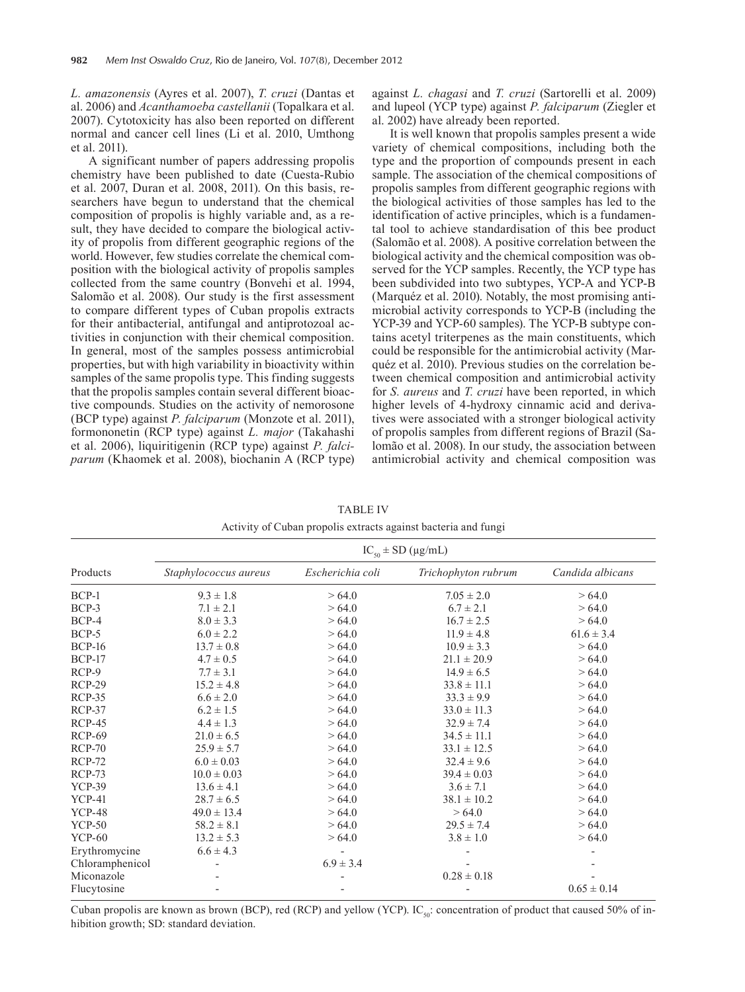*L. amazonensis* (Ayres et al. 2007), *T. cruzi* (Dantas et al. 2006) and *Acanthamoeba castellanii* (Topalkara et al. 2007). Cytotoxicity has also been reported on different normal and cancer cell lines (Li et al. 2010, Umthong et al. 2011).

A significant number of papers addressing propolis chemistry have been published to date (Cuesta-Rubio et al. 2007, Duran et al. 2008, 2011). On this basis, researchers have begun to understand that the chemical composition of propolis is highly variable and, as a result, they have decided to compare the biological activity of propolis from different geographic regions of the world. However, few studies correlate the chemical composition with the biological activity of propolis samples collected from the same country (Bonvehi et al. 1994, Salomão et al. 2008). Our study is the first assessment to compare different types of Cuban propolis extracts for their antibacterial, antifungal and antiprotozoal activities in conjunction with their chemical composition. In general, most of the samples possess antimicrobial properties, but with high variability in bioactivity within samples of the same propolis type. This finding suggests that the propolis samples contain several different bioactive compounds. Studies on the activity of nemorosone (BCP type) against *P. falciparum* (Monzote et al. 2011), formononetin (RCP type) against *L. major* (Takahashi et al. 2006), liquiritigenin (RCP type) against *P. falciparum* (Khaomek et al. 2008), biochanin A (RCP type) against *L. chagasi* and *T. cruzi* (Sartorelli et al. 2009) and lupeol (YCP type) against *P. falciparum* (Ziegler et al. 2002) have already been reported.

It is well known that propolis samples present a wide variety of chemical compositions, including both the type and the proportion of compounds present in each sample. The association of the chemical compositions of propolis samples from different geographic regions with the biological activities of those samples has led to the identification of active principles, which is a fundamental tool to achieve standardisation of this bee product (Salomão et al. 2008). A positive correlation between the biological activity and the chemical composition was observed for the YCP samples. Recently, the YCP type has been subdivided into two subtypes, YCP-A and YCP-B (Marquéz et al. 2010). Notably, the most promising antimicrobial activity corresponds to YCP-B (including the YCP-39 and YCP-60 samples). The YCP-B subtype contains acetyl triterpenes as the main constituents, which could be responsible for the antimicrobial activity (Marquéz et al. 2010). Previous studies on the correlation between chemical composition and antimicrobial activity for *S. aureus* and *T. cruzi* have been reported, in which higher levels of 4-hydroxy cinnamic acid and derivatives were associated with a stronger biological activity of propolis samples from different regions of Brazil (Salomão et al. 2008). In our study, the association between antimicrobial activity and chemical composition was

TABLE IV Activity of Cuban propolis extracts against bacteria and fungi

|                 | $IC_{50}$ ± SD (µg/mL) |                  |                     |                  |  |  |  |
|-----------------|------------------------|------------------|---------------------|------------------|--|--|--|
| Products        | Staphylococcus aureus  | Escherichia coli | Trichophyton rubrum | Candida albicans |  |  |  |
| BCP-1           | $9.3 \pm 1.8$          | >64.0            | $7.05 \pm 2.0$      | >64.0            |  |  |  |
| BCP-3           | $7.1 \pm 2.1$          | >64.0            | $6.7 \pm 2.1$       | >64.0            |  |  |  |
| BCP-4           | $8.0 \pm 3.3$          | >64.0            | $16.7 \pm 2.5$      | >64.0            |  |  |  |
| BCP-5           | $6.0 \pm 2.2$          | >64.0            | $11.9 \pm 4.8$      | $61.6 \pm 3.4$   |  |  |  |
| <b>BCP-16</b>   | $13.7 \pm 0.8$         | >64.0            | $10.9 \pm 3.3$      | >64.0            |  |  |  |
| <b>BCP-17</b>   | $4.7 \pm 0.5$          | >64.0            | $21.1 \pm 20.9$     | >64.0            |  |  |  |
| $RCP-9$         | $7.7 \pm 3.1$          | >64.0            | $14.9 \pm 6.5$      | >64.0            |  |  |  |
| $RCP-29$        | $15.2 \pm 4.8$         | >64.0            | $33.8 \pm 11.1$     | >64.0            |  |  |  |
| <b>RCP-35</b>   | $6.6 \pm 2.0$          | >64.0            | $33.3 \pm 9.9$      | >64.0            |  |  |  |
| $RCP-37$        | $6.2 \pm 1.5$          | >64.0            | $33.0 \pm 11.3$     | >64.0            |  |  |  |
| $RCP-45$        | $4.4 \pm 1.3$          | >64.0            | $32.9 \pm 7.4$      | >64.0            |  |  |  |
| <b>RCP-69</b>   | $21.0 \pm 6.5$         | >64.0            | $34.5 \pm 11.1$     | >64.0            |  |  |  |
| <b>RCP-70</b>   | $25.9 \pm 5.7$         | >64.0            | $33.1 \pm 12.5$     | >64.0            |  |  |  |
| <b>RCP-72</b>   | $6.0 \pm 0.03$         | >64.0            | $32.4 \pm 9.6$      | >64.0            |  |  |  |
| <b>RCP-73</b>   | $10.0 \pm 0.03$        | >64.0            | $39.4 \pm 0.03$     | >64.0            |  |  |  |
| <b>YCP-39</b>   | $13.6 \pm 4.1$         | >64.0            | $3.6 \pm 7.1$       | >64.0            |  |  |  |
| <b>YCP-41</b>   | $28.7 \pm 6.5$         | >64.0            | $38.1 \pm 10.2$     | >64.0            |  |  |  |
| <b>YCP-48</b>   | $49.0 \pm 13.4$        | >64.0            | >64.0               | >64.0            |  |  |  |
| <b>YCP-50</b>   | $58.2 \pm 8.1$         | >64.0            | $29.5 \pm 7.4$      | >64.0            |  |  |  |
| <b>YCP-60</b>   | $13.2 \pm 5.3$         | >64.0            | $3.8 \pm 1.0$       | >64.0            |  |  |  |
| Erythromycine   | $6.6 \pm 4.3$          |                  |                     |                  |  |  |  |
| Chloramphenicol |                        | $6.9 \pm 3.4$    |                     |                  |  |  |  |
| Miconazole      |                        |                  | $0.28 \pm 0.18$     |                  |  |  |  |
| Flucytosine     |                        |                  |                     | $0.65 \pm 0.14$  |  |  |  |

Cuban propolis are known as brown (BCP), red (RCP) and yellow (YCP). IC<sub>50</sub>: concentration of product that caused 50% of inhibition growth; SD: standard deviation.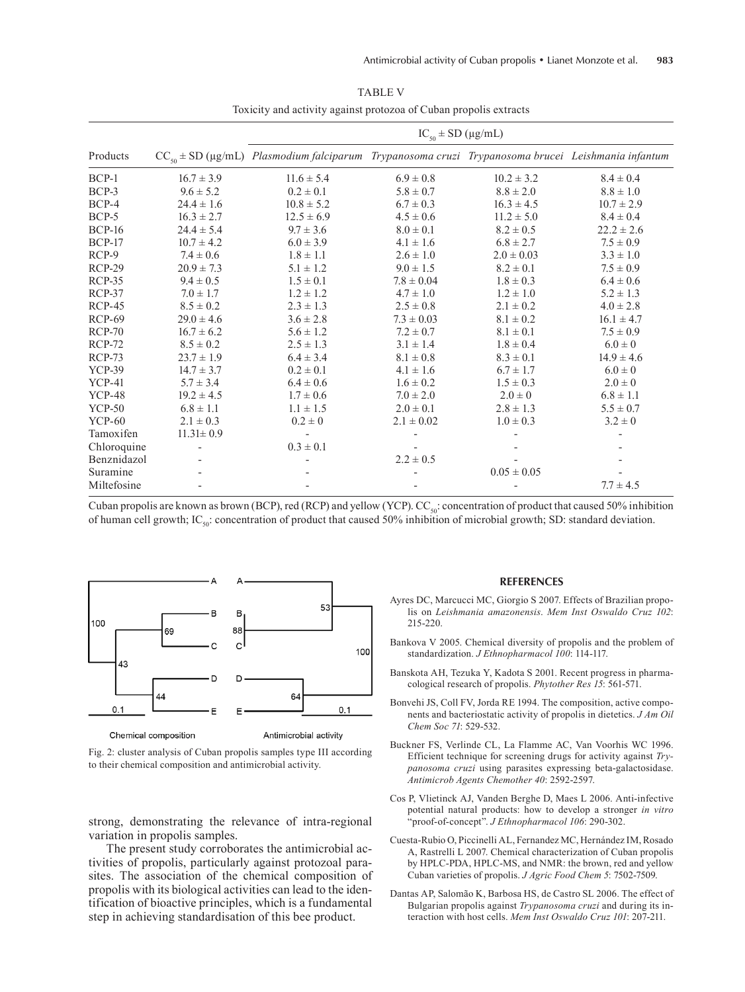|               |                 | $IC_{50} \pm SD$ (µg/mL)                                                                                       |                |                 |                |  |  |  |
|---------------|-----------------|----------------------------------------------------------------------------------------------------------------|----------------|-----------------|----------------|--|--|--|
| Products      |                 | $CC_{\varsigma_0}$ ± SD (µg/mL) Plasmodium falciparum Trypanosoma cruzi Trypanosoma brucei Leishmania infantum |                |                 |                |  |  |  |
| $BCP-1$       | $16.7 \pm 3.9$  | $11.6 \pm 5.4$                                                                                                 | $6.9 \pm 0.8$  | $10.2 \pm 3.2$  | $8.4 \pm 0.4$  |  |  |  |
| $BCP-3$       | $9.6 \pm 5.2$   | $0.2 \pm 0.1$                                                                                                  | $5.8 \pm 0.7$  | $8.8 \pm 2.0$   | $8.8 \pm 1.0$  |  |  |  |
| BCP-4         | $24.4 \pm 1.6$  | $10.8 \pm 5.2$                                                                                                 | $6.7 \pm 0.3$  | $16.3 \pm 4.5$  | $10.7 \pm 2.9$ |  |  |  |
| BCP-5         | $16.3 \pm 2.7$  | $12.5 \pm 6.9$                                                                                                 | $4.5 \pm 0.6$  | $11.2 \pm 5.0$  | $8.4 \pm 0.4$  |  |  |  |
| <b>BCP-16</b> | $24.4 \pm 5.4$  | $9.7 \pm 3.6$                                                                                                  | $8.0 \pm 0.1$  | $8.2 \pm 0.5$   | $22.2 \pm 2.6$ |  |  |  |
| <b>BCP-17</b> | $10.7 \pm 4.2$  | $6.0 \pm 3.9$                                                                                                  | $4.1 \pm 1.6$  | $6.8 \pm 2.7$   | $7.5 \pm 0.9$  |  |  |  |
| RCP-9         | $7.4 \pm 0.6$   | $1.8 \pm 1.1$                                                                                                  | $2.6 \pm 1.0$  | $2.0 \pm 0.03$  | $3.3 \pm 1.0$  |  |  |  |
| <b>RCP-29</b> | $20.9 \pm 7.3$  | $5.1 \pm 1.2$                                                                                                  | $9.0 \pm 1.5$  | $8.2 \pm 0.1$   | $7.5 \pm 0.9$  |  |  |  |
| <b>RCP-35</b> | $9.4 \pm 0.5$   | $1.5 \pm 0.1$                                                                                                  | $7.8 \pm 0.04$ | $1.8 \pm 0.3$   | $6.4 \pm 0.6$  |  |  |  |
| $RCP-37$      | $7.0 \pm 1.7$   | $1.2 \pm 1.2$                                                                                                  | $4.7 \pm 1.0$  | $1.2 \pm 1.0$   | $5.2 \pm 1.3$  |  |  |  |
| $RCP-45$      | $8.5 \pm 0.2$   | $2.3 \pm 1.3$                                                                                                  | $2.5 \pm 0.8$  | $2.1 \pm 0.2$   | $4.0 \pm 2.8$  |  |  |  |
| RCP-69        | $29.0 \pm 4.6$  | $3.6 \pm 2.8$                                                                                                  | $7.3 \pm 0.03$ | $8.1 \pm 0.2$   | $16.1 \pm 4.7$ |  |  |  |
| <b>RCP-70</b> | $16.7 \pm 6.2$  | $5.6 \pm 1.2$                                                                                                  | $7.2 \pm 0.7$  | $8.1 \pm 0.1$   | $7.5 \pm 0.9$  |  |  |  |
| <b>RCP-72</b> | $8.5 \pm 0.2$   | $2.5 \pm 1.3$                                                                                                  | $3.1 \pm 1.4$  | $1.8 \pm 0.4$   | $6.0 \pm 0$    |  |  |  |
| <b>RCP-73</b> | $23.7 \pm 1.9$  | $6.4 \pm 3.4$                                                                                                  | $8.1 \pm 0.8$  | $8.3 \pm 0.1$   | $14.9 \pm 4.6$ |  |  |  |
| <b>YCP-39</b> | $14.7 \pm 3.7$  | $0.2 \pm 0.1$                                                                                                  | $4.1 \pm 1.6$  | $6.7 \pm 1.7$   | $6.0 \pm 0$    |  |  |  |
| <b>YCP-41</b> | $5.7 \pm 3.4$   | $6.4 \pm 0.6$                                                                                                  | $1.6 \pm 0.2$  | $1.5 \pm 0.3$   | $2.0 \pm 0$    |  |  |  |
| <b>YCP-48</b> | $19.2 \pm 4.5$  | $1.7 \pm 0.6$                                                                                                  | $7.0 \pm 2.0$  | $2.0 \pm 0$     | $6.8 \pm 1.1$  |  |  |  |
| <b>YCP-50</b> | $6.8 \pm 1.1$   | $1.1 \pm 1.5$                                                                                                  | $2.0 \pm 0.1$  | $2.8 \pm 1.3$   | $5.5 \pm 0.7$  |  |  |  |
| $YCP-60$      | $2.1 \pm 0.3$   | $0.2 \pm 0$                                                                                                    | $2.1 \pm 0.02$ | $1.0 \pm 0.3$   | $3.2 \pm 0$    |  |  |  |
| Tamoxifen     | $11.31 \pm 0.9$ |                                                                                                                |                |                 |                |  |  |  |
| Chloroquine   |                 | $0.3 \pm 0.1$                                                                                                  |                |                 |                |  |  |  |
| Benznidazol   |                 |                                                                                                                | $2.2 \pm 0.5$  |                 |                |  |  |  |
| Suramine      |                 |                                                                                                                |                | $0.05 \pm 0.05$ |                |  |  |  |
| Miltefosine   |                 |                                                                                                                |                |                 | $7.7 \pm 4.5$  |  |  |  |

TABLE V Toxicity and activity against protozoa of Cuban propolis extracts

Cuban propolis are known as brown (BCP), red (RCP) and yellow (YCP).  $CC_{50}$ : concentration of product that caused 50% inhibition of human cell growth; IC<sub>50</sub>: concentration of product that caused 50% inhibition of microbial growth; SD: standard deviation.



Fig. 2: cluster analysis of Cuban propolis samples type III according

to their chemical composition and antimicrobial activity.

strong, demonstrating the relevance of intra-regional variation in propolis samples.

The present study corroborates the antimicrobial activities of propolis, particularly against protozoal parasites. The association of the chemical composition of propolis with its biological activities can lead to the identification of bioactive principles, which is a fundamental step in achieving standardisation of this bee product.

#### **REFERENCES**

- Ayres DC, Marcucci MC, Giorgio S 2007. Effects of Brazilian propolis on *Leishmania amazonensis*. *Mem Inst Oswaldo Cruz 102*: 215-220.
- Bankova V 2005. Chemical diversity of propolis and the problem of standardization. *J Ethnopharmacol 100*: 114-117.
- Banskota AH, Tezuka Y, Kadota S 2001. Recent progress in pharmacological research of propolis. *Phytother Res 15*: 561-571.
- Bonvehi JS, Coll FV, Jorda RE 1994. The composition, active components and bacteriostatic activity of propolis in dietetics. *J Am Oil Chem Soc 71*: 529-532.
- Buckner FS, Verlinde CL, La Flamme AC, Van Voorhis WC 1996. Efficient technique for screening drugs for activity against *Trypanosoma cruzi* using parasites expressing beta-galactosidase. *Antimicrob Agents Chemother 40*: 2592-2597.
- Cos P, Vlietinck AJ, Vanden Berghe D, Maes L 2006. Anti-infective potential natural products: how to develop a stronger *in vitro* "proof-of-concept". *J Ethnopharmacol 106*: 290-302.
- Cuesta-Rubio O, Piccinelli AL, Fernandez MC, Hernández IM, Rosado A, Rastrelli L 2007. Chemical characterization of Cuban propolis by HPLC-PDA, HPLC-MS, and NMR: the brown, red and yellow Cuban varieties of propolis. *J Agric Food Chem 5*: 7502-7509.
- Dantas AP, Salomão K, Barbosa HS, de Castro SL 2006. The effect of Bulgarian propolis against *Trypanosoma cruzi* and during its interaction with host cells. *Mem Inst Oswaldo Cruz 101*: 207-211.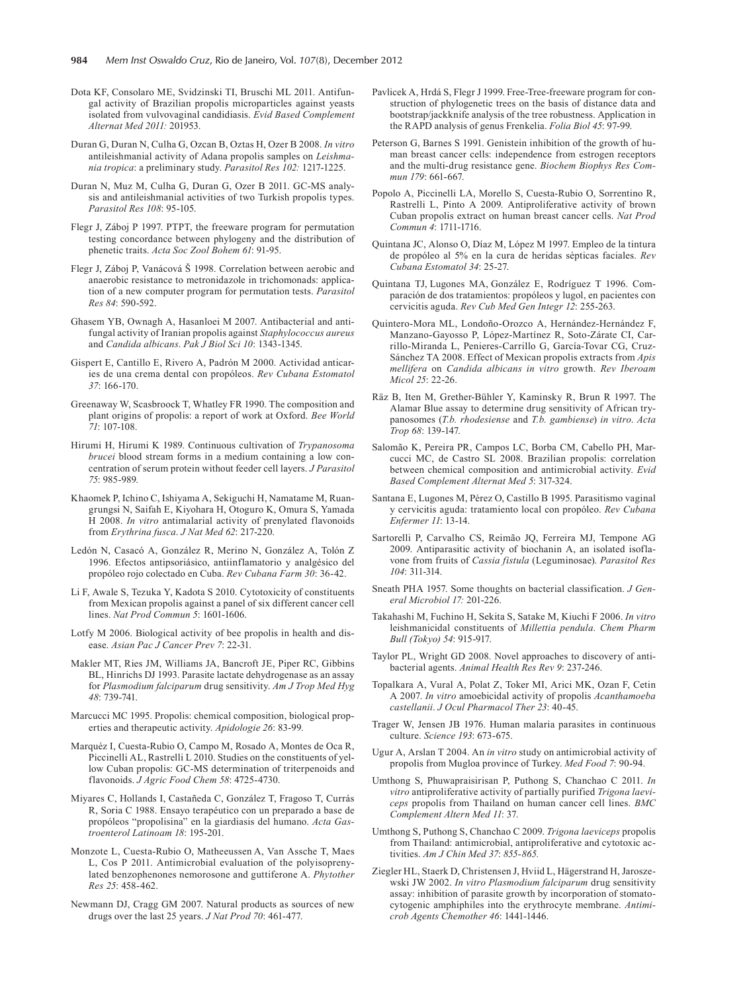- Dota KF, Consolaro ME, Svidzinski TI, Bruschi ML 2011. Antifungal activity of Brazilian propolis microparticles against yeasts isolated from vulvovaginal candidiasis. *Evid Based Complement Alternat Med 2011:* 201953.
- Duran G, Duran N, Culha G, Ozcan B, Oztas H, Ozer B 2008. *In vitro* antileishmanial activity of Adana propolis samples on *Leishmania tropica*: a preliminary study. *Parasitol Res 102:* 1217-1225.
- Duran N, Muz M, Culha G, Duran G, Ozer B 2011. GC-MS analysis and antileishmanial activities of two Turkish propolis types. *Parasitol Res 108*: 95-105.
- Flegr J, Záboj P 1997. PTPT, the freeware program for permutation testing concordance between phylogeny and the distribution of phenetic traits. *Acta Soc Zool Bohem 61*: 91-95.
- Flegr J, Záboj P, Vanácová Š 1998. Correlation between aerobic and anaerobic resistance to metronidazole in trichomonads: application of a new computer program for permutation tests. *Parasitol Res 84*: 590-592.
- Ghasem YB, Ownagh A, Hasanloei M 2007. Antibacterial and antifungal activity of Iranian propolis against *Staphylococcus aureus* and *Candida albicans*. *Pak J Biol Sci 10*: 1343-1345.
- Gispert E, Cantillo E, Rivero A, Padrón M 2000. Actividad anticaries de una crema dental con propóleos. *Rev Cubana Estomatol 37*: 166-170.
- Greenaway W, Scasbroock T, Whatley FR 1990. The composition and plant origins of propolis: a report of work at Oxford. *Bee World 71*: 107-108.
- Hirumi H, Hirumi K 1989. Continuous cultivation of *Trypanosoma brucei* blood stream forms in a medium containing a low concentration of serum protein without feeder cell layers. *J Parasitol 75*: 985-989.
- Khaomek P, Ichino C, Ishiyama A, Sekiguchi H, Namatame M, Ruangrungsi N, Saifah E, Kiyohara H, Otoguro K, Omura S, Yamada H 2008. *In vitro* antimalarial activity of prenylated flavonoids from *Erythrina fusca*. *J Nat Med 62*: 217-220.
- Ledón N, Casacó A, González R, Merino N, González A, Tolón Z 1996. Efectos antipsoriásico, antiinflamatorio y analgésico del propóleo rojo colectado en Cuba. *Rev Cubana Farm 30*: 36-42.
- Li F, Awale S, Tezuka Y, Kadota S 2010. Cytotoxicity of constituents from Mexican propolis against a panel of six different cancer cell lines. *Nat Prod Commun 5*: 1601-1606.
- Lotfy M 2006. Biological activity of bee propolis in health and disease. *Asian Pac J Cancer Prev 7*: 22-31.
- Makler MT, Ries JM, Williams JA, Bancroft JE, Piper RC, Gibbins BL, Hinrichs DJ 1993. Parasite lactate dehydrogenase as an assay for *Plasmodium falciparum* drug sensitivity. *Am J Trop Med Hyg 48*: 739-741.
- Marcucci MC 1995. Propolis: chemical composition, biological properties and therapeutic activity. *Apidologie 26*: 83-99.
- Marquéz I, Cuesta-Rubio O, Campo M, Rosado A, Montes de Oca R, Piccinelli AL, Rastrelli L 2010. Studies on the constituents of yellow Cuban propolis: GC-MS determination of triterpenoids and flavonoids. *J Agric Food Chem 58*: 4725-4730.
- Miyares C, Hollands I, Castañeda C, González T, Fragoso T, Currás R, Soria C 1988. Ensayo terapéutico con un preparado a base de propóleos "propolisina" en la giardiasis del humano. *Acta Gastroenterol Latinoam 18*: 195-201.
- Monzote L, Cuesta-Rubio O, Matheeussen A, Van Assche T, Maes L, Cos P 2011. Antimicrobial evaluation of the polyisoprenylated benzophenones nemorosone and guttiferone A. *Phytother Res 25*: 458-462.
- Newmann DJ, Cragg GM 2007. Natural products as sources of new drugs over the last 25 years. *J Nat Prod 70*: 461-477.
- Pavlicek A, Hrdá S, Flegr J 1999. Free-Tree-freeware program for construction of phylogenetic trees on the basis of distance data and bootstrap/jackknife analysis of the tree robustness. Application in the RAPD analysis of genus Frenkelia. *Folia Biol 45*: 97-99.
- Peterson G, Barnes S 1991. Genistein inhibition of the growth of human breast cancer cells: independence from estrogen receptors and the multi-drug resistance gene. *Biochem Biophys Res Commun 179*: 661-667.
- Popolo A, Piccinelli LA, Morello S, Cuesta-Rubio O, Sorrentino R, Rastrelli L, Pinto A 2009. Antiproliferative activity of brown Cuban propolis extract on human breast cancer cells. *Nat Prod Commun 4*: 1711-1716.
- Quintana JC, Alonso O, Díaz M, López M 1997. Empleo de la tintura de propóleo al 5% en la cura de heridas sépticas faciales. *Rev Cubana Estomatol 34*: 25-27.
- Quintana TJ, Lugones MA, González E, Rodríguez T 1996. Comparación de dos tratamientos: propóleos y lugol, en pacientes con cervicitis aguda. *Rev Cub Med Gen Integr 12*: 255-263.
- Quintero-Mora ML, Londoño-Orozco A, Hernández-Hernández F, Manzano-Gayosso P, López-Martínez R, Soto-Zárate CI, Carrillo-Miranda L, Penieres-Carrillo G, García-Tovar CG, Cruz-Sánchez TA 2008. Effect of Mexican propolis extracts from *Apis mellifera* on *Candida albicans in vitro* growth. *Rev Iberoam Micol 25*: 22-26.
- Räz B, Iten M, Grether-Bühler Y, Kaminsky R, Brun R 1997. The Alamar Blue assay to determine drug sensitivity of African trypanosomes (*T.b. rhodesiense* and *T.b. gambiense*) *in vitro*. *Acta Trop 68*: 139-147.
- Salomão K, Pereira PR, Campos LC, Borba CM, Cabello PH, Marcucci MC, de Castro SL 2008. Brazilian propolis: correlation between chemical composition and antimicrobial activity. *Evid Based Complement Alternat Med 5*: 317-324.
- Santana E, Lugones M, Pérez O, Castillo B 1995. Parasitismo vaginal y cervicitis aguda: tratamiento local con propóleo. *Rev Cubana Enfermer 11*: 13-14.
- Sartorelli P, Carvalho CS, Reimão JQ, Ferreira MJ, Tempone AG 2009. Antiparasitic activity of biochanin A, an isolated isoflavone from fruits of *Cassia fistula* (Leguminosae). *Parasitol Res 104*: 311-314.
- Sneath PHA 1957. Some thoughts on bacterial classification. *J General Microbiol 17:* 201-226.
- Takahashi M, Fuchino H, Sekita S, Satake M, Kiuchi F 2006. *In vitro* leishmanicidal constituents of *Millettia pendula*. *Chem Pharm Bull (Tokyo) 54*: 915-917.
- Taylor PL, Wright GD 2008. Novel approaches to discovery of antibacterial agents. *Animal Health Res Rev 9*: 237-246.
- Topalkara A, Vural A, Polat Z, Toker MI, Arici MK, Ozan F, Cetin A 2007. *In vitro* amoebicidal activity of propolis *Acanthamoeba castellanii*. *J Ocul Pharmacol Ther 23*: 40-45.
- Trager W, Jensen JB 1976. Human malaria parasites in continuous culture. *Science 193*: 673-675.
- Ugur A, Arslan T 2004. An *in vitro* study on antimicrobial activity of propolis from Mugloa province of Turkey. *Med Food 7*: 90-94.
- Umthong S, Phuwapraisirisan P, Puthong S, Chanchao C 2011. *In vitro* antiproliferative activity of partially purified *Trigona laeviceps* propolis from Thailand on human cancer cell lines. *BMC Complement Altern Med 11*: 37.
- Umthong S, Puthong S, Chanchao C 2009. *Trigona laeviceps* propolis from Thailand: antimicrobial, antiproliferative and cytotoxic activities. *Am J Chin Med 37*: *855-865.*
- Ziegler HL, Staerk D, Christensen J, Hviid L, Hägerstrand H, Jaroszewski JW 2002. *In vitro Plasmodium falciparum* drug sensitivity assay: inhibition of parasite growth by incorporation of stomatocytogenic amphiphiles into the erythrocyte membrane. *Antimicrob Agents Chemother 46*: 1441-1446.